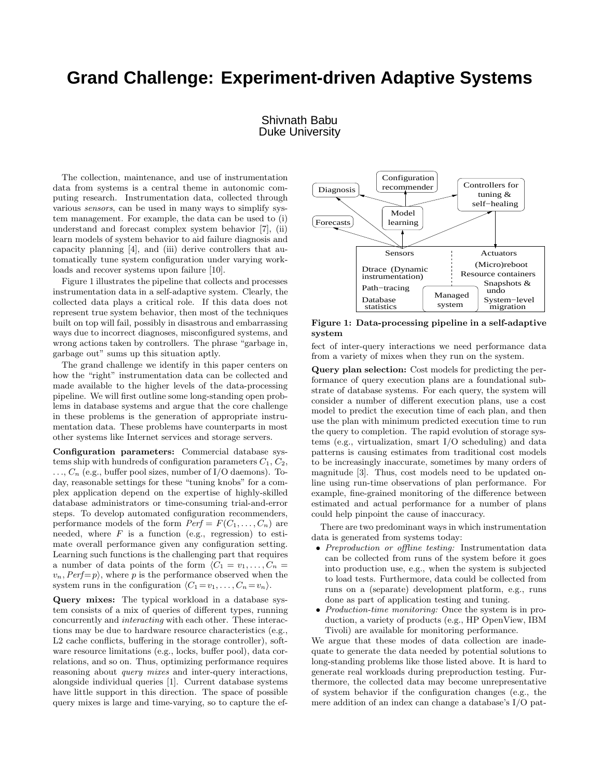## **Grand Challenge: Experiment-driven Adaptive Systems**

## Shivnath Babu Duke University

The collection, maintenance, and use of instrumentation data from systems is a central theme in autonomic computing research. Instrumentation data, collected through various sensors, can be used in many ways to simplify system management. For example, the data can be used to (i) understand and forecast complex system behavior [7], (ii) learn models of system behavior to aid failure diagnosis and capacity planning [4], and (iii) derive controllers that automatically tune system configuration under varying workloads and recover systems upon failure [10].

Figure 1 illustrates the pipeline that collects and processes instrumentation data in a self-adaptive system. Clearly, the collected data plays a critical role. If this data does not represent true system behavior, then most of the techniques built on top will fail, possibly in disastrous and embarrassing ways due to incorrect diagnoses, misconfigured systems, and wrong actions taken by controllers. The phrase "garbage in, garbage out" sums up this situation aptly.

The grand challenge we identify in this paper centers on how the "right" instrumentation data can be collected and made available to the higher levels of the data-processing pipeline. We will first outline some long-standing open problems in database systems and argue that the core challenge in these problems is the generation of appropriate instrumentation data. These problems have counterparts in most other systems like Internet services and storage servers.

Configuration parameters: Commercial database systems ship with hundreds of configuration parameters  $C_1, C_2$ ,  $\ldots$ ,  $C_n$  (e.g., buffer pool sizes, number of I/O daemons). Today, reasonable settings for these "tuning knobs" for a complex application depend on the expertise of highly-skilled database administrators or time-consuming trial-and-error steps. To develop automated configuration recommenders, performance models of the form  $Perf = F(C_1, \ldots, C_n)$  are needed, where  $F$  is a function (e.g., regression) to estimate overall performance given any configuration setting. Learning such functions is the challenging part that requires a number of data points of the form  $\langle C_1 = v_1, \ldots, C_n =$  $v_n$ ,  $Perf=p$ , where p is the performance observed when the system runs in the configuration  $\langle C_1 = v_1, \ldots, C_n = v_n \rangle$ .

Query mixes: The typical workload in a database system consists of a mix of queries of different types, running concurrently and interacting with each other. These interactions may be due to hardware resource characteristics (e.g., L2 cache conflicts, buffering in the storage controller), software resource limitations (e.g., locks, buffer pool), data correlations, and so on. Thus, optimizing performance requires reasoning about *query mixes* and inter-query interactions, alongside individual queries [1]. Current database systems have little support in this direction. The space of possible query mixes is large and time-varying, so to capture the ef-



Figure 1: Data-processing pipeline in a self-adaptive system

fect of inter-query interactions we need performance data from a variety of mixes when they run on the system.

Query plan selection: Cost models for predicting the performance of query execution plans are a foundational substrate of database systems. For each query, the system will consider a number of different execution plans, use a cost model to predict the execution time of each plan, and then use the plan with minimum predicted execution time to run the query to completion. The rapid evolution of storage systems (e.g., virtualization, smart I/O scheduling) and data patterns is causing estimates from traditional cost models to be increasingly inaccurate, sometimes by many orders of magnitude [3]. Thus, cost models need to be updated online using run-time observations of plan performance. For example, fine-grained monitoring of the difference between estimated and actual performance for a number of plans could help pinpoint the cause of inaccuracy.

There are two predominant ways in which instrumentation data is generated from systems today:

- Preproduction or offline testing: Instrumentation data can be collected from runs of the system before it goes into production use, e.g., when the system is subjected to load tests. Furthermore, data could be collected from runs on a (separate) development platform, e.g., runs done as part of application testing and tuning.
- Production-time monitoring: Once the system is in production, a variety of products (e.g., HP OpenView, IBM Tivoli) are available for monitoring performance.

We argue that these modes of data collection are inadequate to generate the data needed by potential solutions to long-standing problems like those listed above. It is hard to generate real workloads during preproduction testing. Furthermore, the collected data may become unrepresentative of system behavior if the configuration changes (e.g., the mere addition of an index can change a database's I/O pat